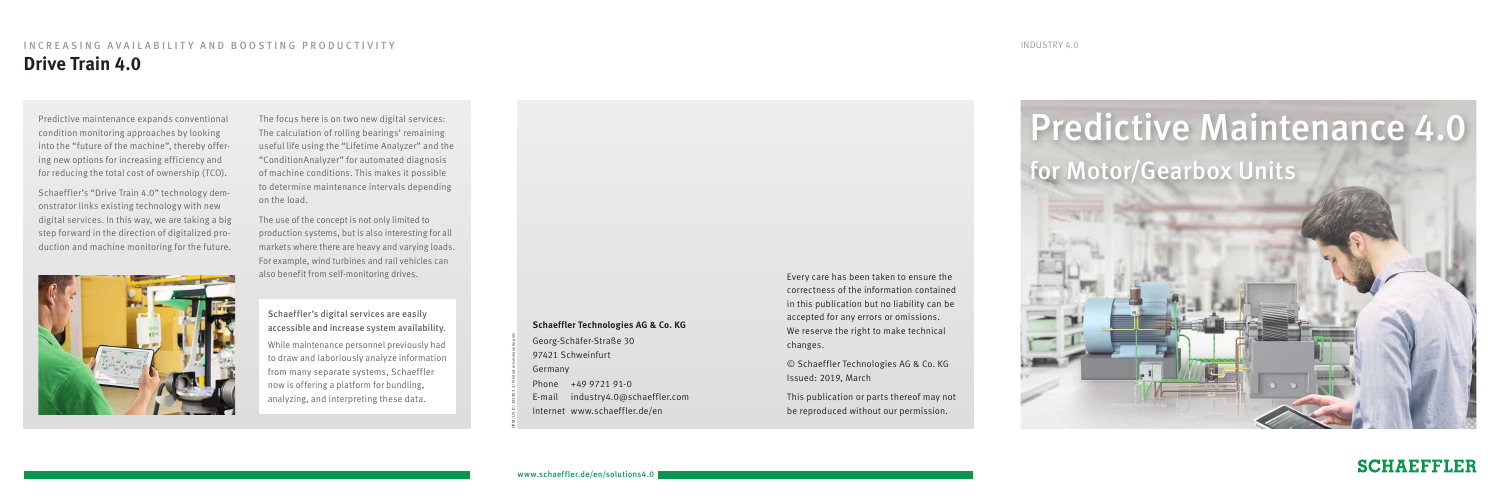# Predictive Maintenance 4.0 for Motor/Gearbox Units



**SCHAEFFLER** 

OPM/US-D/201903.2/Printed in Germany by pms

#### **Schaeffler Technologies AG & Co. KG**

Georg-Schäfer-Straße 30 97421 Schweinfurt Germany Phone +49 9721 91-0 E-mail industry4.0@schaeffler.com Internet www.schaeffler.de/en

Every care has been taken to ensure the correctness of the information contained in this publication but no liability can be accepted for any errors or omissions. We reserve the right to make technical changes.

© Schaeffler Technologies AG & Co. KG Issued: 2019, March

This publication or parts thereof may not be reproduced without our permission.

## INCREASING AVAILABILITY AND BOOSTING PRODUCTIVITY **Drive Train 4.0**

Predictive maintenance expands conventional condition monitoring approaches by looking into the "future of the machine", thereby offering new options for increasing efficiency and for reducing the total cost of ownership (TCO).

Schaeffler's "Drive Train 4.0" technology demonstrator links existing technology with new digital services. In this way, we are taking a big step forward in the direction of digitalized production and machine monitoring for the future.

> Schaeffler's digital services are easily accessible and increase system availability. While maintenance personnel previously had to draw and laboriously analyze information from many separate systems, Schaeffler now is offering a platform for bundling, analyzing, and interpreting these data.

The focus here is on two new digital services: The calculation of rolling bearings' remaining useful life using the "Lifetime Analyzer" and the "ConditionAnalyzer" for automated diagnosis of machine conditions. This makes it possible to determine maintenance intervals depending on the load.

The use of the concept is not only limited to production systems, but is also interesting for all markets where there are heavy and varying loads. For example, wind turbines and rail vehicles can also benefit from self-monitoring drives.



INDUSTRY 4.0